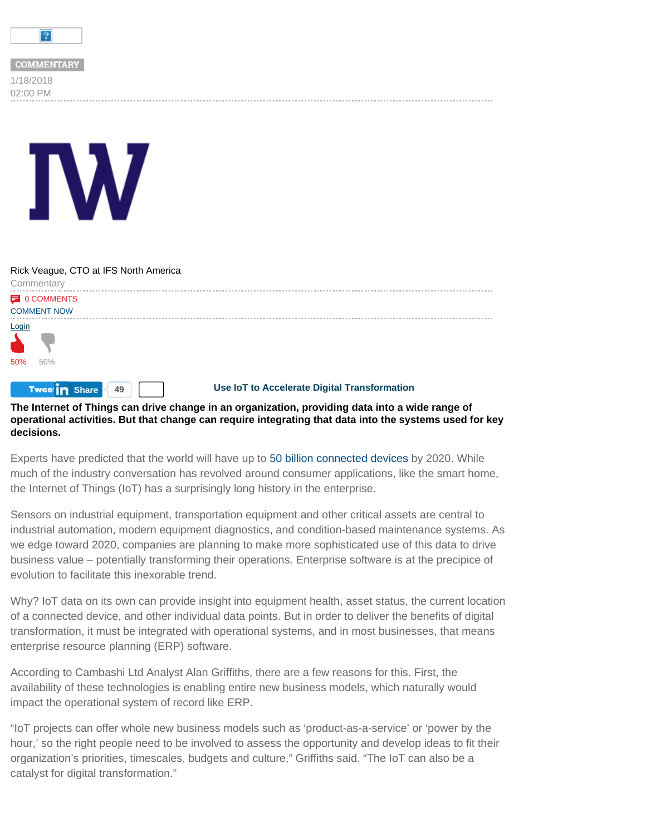<span id="page-0-0"></span>

| <b>COMMENTARY</b> |
|-------------------|
| 1/18/2018         |
| 02:00 PM          |

## 50% 50% **E** [0 COMMENTS](#page-0-0) COMMENT NOW **Tweet<sub>in</sub>** Share 49 Rick Veague, CTO at IFS North America **Commentary** [Login](#page-0-0) **Use IoT to Accelerate Digital Transformation**

## **The Internet of Things can drive change in an organization, providing data into a wide range of operational activities. But that change can require integrating that data into the systems used for key decisions.**

Experts have predicted that the world will have up to 50 billion connected devices by 2020. While much of the industry conversation has revolved around consumer applications, like the smart home, the Internet of Things (IoT) has a surprisingly long history in the enterprise.

Sensors on industrial equipment, transportation equipment and other critical assets are central to industrial automation, modern equipment diagnostics, and condition-based maintenance systems. As we edge toward 2020, companies are planning to make more sophisticated use of this data to drive business value – potentially transforming their operations. Enterprise software is at the precipice of evolution to facilitate this inexorable trend.

Why? IoT data on its own can provide insight into equipment health, asset status, the current location of a connected device, and other individual data points. But in order to deliver the benefits of digital transformation, it must be integrated with operational systems, and in most businesses, that means enterprise resource planning (ERP) software.

According to Cambashi Ltd Analyst Alan Griffiths, there are a few reasons for this. First, the availability of these technologies is enabling entire new business models, which naturally would impact the operational system of record like ERP.

"IoT projects can offer whole new business models such as 'product-as-a-service' or 'power by the hour,' so the right people need to be involved to assess the opportunity and develop ideas to fit their organization's priorities, timescales, budgets and culture," Griffiths said. "The IoT can also be a catalyst for digital transformation."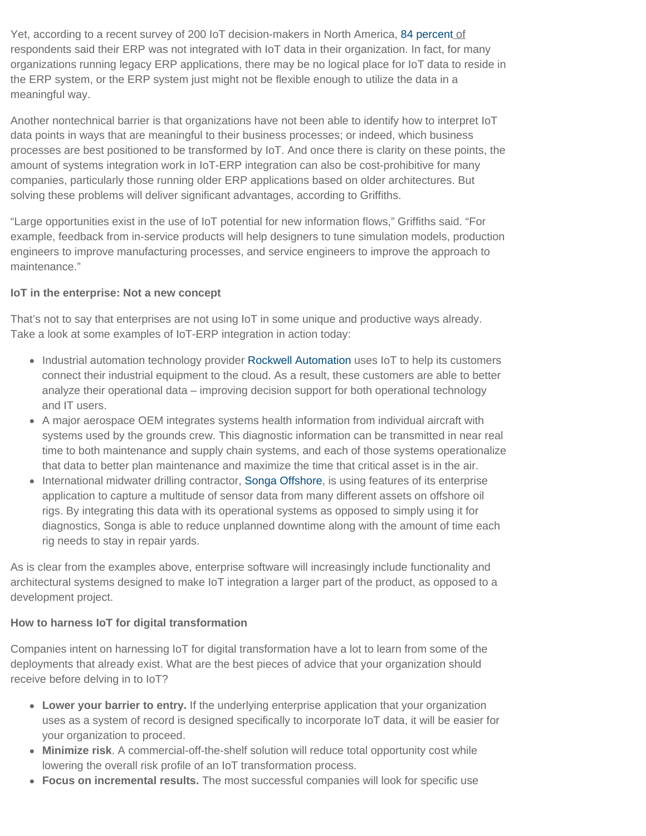Yet, according to a recent survey of 200 IoT decision-makers in North America, 84 percent of respondents said their ERP was not integrated with IoT data in their organization. In fact, for many organizations running legacy ERP applications, there may be no logical place for IoT data to reside in the ERP system, or the ERP system just might not be flexible enough to utilize the data in a meaningful way.

Another nontechnical barrier is that organizations have not been able to identify how to interpret IoT data points in ways that are meaningful to their business processes; or indeed, which business processes are best positioned to be transformed by IoT. And once there is clarity on these points, the amount of systems integration work in IoT-ERP integration can also be cost-prohibitive for many companies, particularly those running older ERP applications based on older architectures. But solving these problems will deliver significant advantages, according to Griffiths.

"Large opportunities exist in the use of IoT potential for new information flows," Griffiths said. "For example, feedback from in-service products will help designers to tune simulation models, production engineers to improve manufacturing processes, and service engineers to improve the approach to maintenance."

## **IoT in the enterprise: Not a new concept**

That's not to say that enterprises are not using IoT in some unique and productive ways already. Take a look at some examples of IoT-ERP integration in action today:

- Industrial automation technology provider Rockwell Automation uses IoT to help its customers connect their industrial equipment to the cloud. As a result, these customers are able to better analyze their operational data – improving decision support for both operational technology and IT users.
- A major aerospace OEM integrates systems health information from individual aircraft with systems used by the grounds crew. This diagnostic information can be transmitted in near real time to both maintenance and supply chain systems, and each of those systems operationalize that data to better plan maintenance and maximize the time that critical asset is in the air.
- International midwater drilling contractor, Songa Offshore, is using features of its enterprise application to capture a multitude of sensor data from many different assets on offshore oil rigs. By integrating this data with its operational systems as opposed to simply using it for diagnostics, Songa is able to reduce unplanned downtime along with the amount of time each rig needs to stay in repair yards.

As is clear from the examples above, enterprise software will increasingly include functionality and architectural systems designed to make IoT integration a larger part of the product, as opposed to a development project.

## **How to harness IoT for digital transformation**

Companies intent on harnessing IoT for digital transformation have a lot to learn from some of the deployments that already exist. What are the best pieces of advice that your organization should receive before delving in to IoT?

- **Lower your barrier to entry.** If the underlying enterprise application that your organization uses as a system of record is designed specifically to incorporate IoT data, it will be easier for your organization to proceed.
- **Minimize risk**. A commercial-off-the-shelf solution will reduce total opportunity cost while lowering the overall risk profile of an IoT transformation process.
- **Focus on incremental results.** The most successful companies will look for specific use